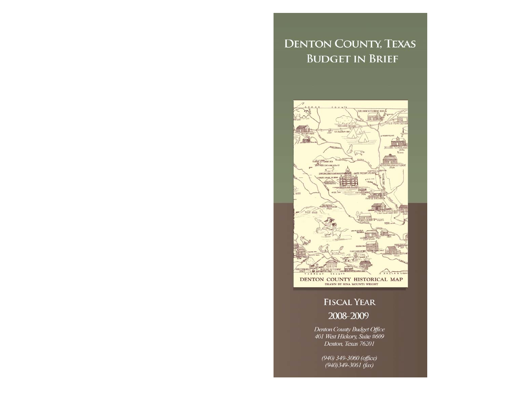# **DENTON COUNTY, TEXAS BUDGET IN BRIEF**



# **FISCAL YEAR**

## 2008-2009

Denton County Budget Office 401 West Hickory, Suite #609 Denton, Texas 76201

> (940) 349-3060 (office)  $(940)349-3061$  (fax)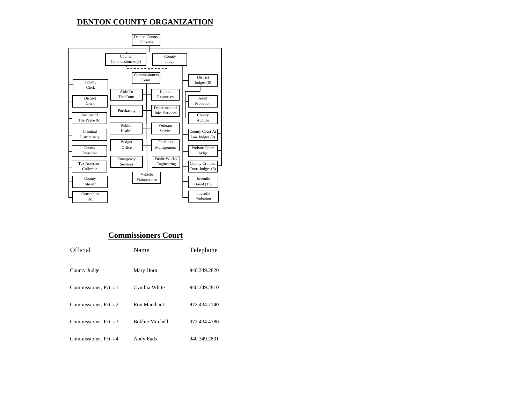### **DENTON COUNTY ORGANIZATION**



### **Commissioners Court**

| Official              | Name                   | Telephone    |
|-----------------------|------------------------|--------------|
| County Judge          | Mary Horn              | 940.349.2820 |
| Commissioner, Pct. #1 | Cynthia White          | 940.349.2810 |
| Commissioner, Pct. #2 | Ron Marchant           | 972.434.7140 |
| Commissioner, Pct. #3 | <b>Bobbie Mitchell</b> | 972.434.4780 |
| Commissioner, Pct. #4 | Andy Eads              | 940.349.2801 |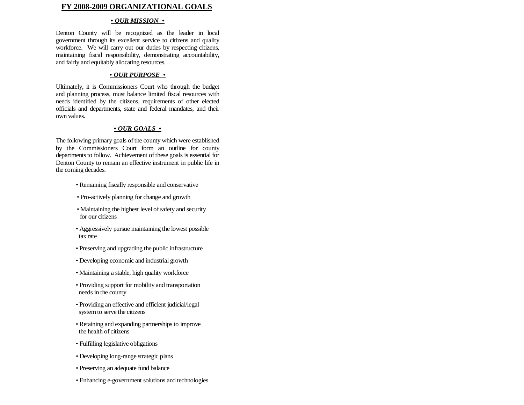#### **FY 2008-2009 ORGANIZATIONAL GOALS**

#### *• OUR MISSION •*

Denton County will be recognized as the leader in local government through its excellent service to citizens and qualit y workforce. We will carry out our duties by respecting citizens, maintaining fiscal responsibility, demonstrating accountability, and fairly and equitably allocating resources.

#### *• OUR PURPOSE •*

Ultimately, it is Commissioners Court who through the budget and planning process, must balance limited fiscal resources wit h needs identified by the citizens, requirements of other electe d officials and departments, state and federal mandates, and their own values.

#### *• OUR GOALS •*

The following primary goals of the county which were establishe d by the Commissioners Court form an outline for count y departments to follow. Achievement of these goals is essential for Denton County to remain an effective instrument in public life in the coming decades.

- *•* Remaining fiscally responsible and conservative
- Pro-actively planning for change and growth
- Maintaining the highest level of safety and security for our citizens
- Aggressively pursue maintaining the lowest possible tax rate
- Preserving and upgrading the public infrastructure
- Developing economic and industrial growth
- Maintaining a stable, high quality workforce
- Providing support for mobility and transportation needs in the county
- Providing an effective and efficient judicial/legal system to serve the citizens
- Retaining and expanding partnerships to improve the health of citizens
- Fulfilling legislative obligations
- Developing long-range strategic plans
- *•* Preserving an adequate fund balance
- *•* Enhancing e-government solutions and technologies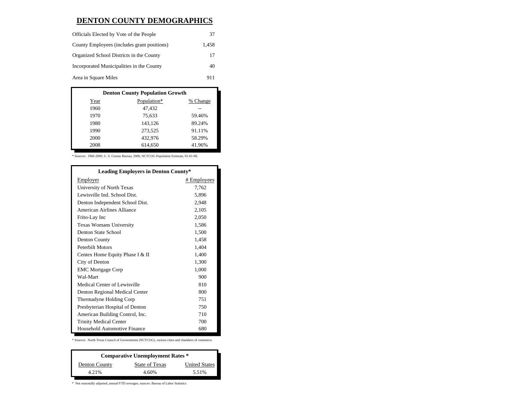### **DENTON COUNTY DEMOGRAPHICS**

| Officials Elected by Vote of the People     | 37    |
|---------------------------------------------|-------|
| County Employees (includes grant positions) | 1.458 |
| Organized School Districts in the County    | 17    |
| Incorporated Municipalities in the County   | 40    |
| Area in Square Miles                        | 911   |

| <b>Denton County Population Growth</b> |             |          |  |  |
|----------------------------------------|-------------|----------|--|--|
| Year                                   | Population* | % Change |  |  |
| 1960                                   | 47.432      |          |  |  |
| 1970                                   | 75,633      | 59.46%   |  |  |
| 1980                                   | 143,126     | 89.24%   |  |  |
| 1990                                   | 273.525     | 91.11%   |  |  |
| 2000                                   | 432.976     | 58.29%   |  |  |
| 2008                                   | 614.650     | 41.96%   |  |  |

\* Sources: 1960-2000, U. S. Census Bureau; 2000, NCTCOG Population Estimate, 01-01-08.

| <b>Leading Employers in Denton County*</b> |             |
|--------------------------------------------|-------------|
| Employer                                   | # Employees |
| University of North Texas                  | 7,762       |
| Lewisville Ind. School Dist.               | 5.896       |
| Denton Independent School Dist.            | 2,948       |
| American Airlines Alliance                 | 2,105       |
| Frito-Lay Inc                              | 2,050       |
| <b>Texas Womans University</b>             | 1,586       |
| Denton State School                        | 1,500       |
| Denton County                              | 1,458       |
| <b>Peterbilt Motors</b>                    | 1,404       |
| Centex Home Equity Phase I & II            | 1,400       |
| City of Denton                             | 1,300       |
| <b>EMC Mortgage Corp</b>                   | 1,000       |
| Wal-Mart                                   | 900         |
| Medical Center of Lewisville               | 810         |
| Denton Regional Medical Center             | 800         |
| Thermadyne Holding Corp                    | 751         |
| Presbyterian Hospital of Denton            | 750         |
| American Building Control, Inc.            | 710         |
| <b>Trinity Medical Center</b>              | 700         |
| Household Automotive Finance               | 680         |

\* Sources: North Texas Council of Governments (NCTCOG), various cities and chambers of commerce.

| <b>Comparative Unemployment Rates *</b> |                |                      |  |  |
|-----------------------------------------|----------------|----------------------|--|--|
| Denton County                           | State of Texas | <b>United States</b> |  |  |
| 4.21%                                   | 4.60%          | 5.51%                |  |  |

 $^\ast$  Not seasonally adjusted; annual/YTD averages; sources: Bureau of Labor Statistics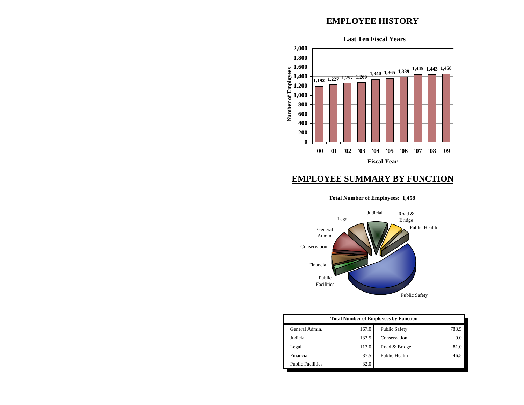### **EMPLOYEE HISTORY**



### **EMPLOYEE SUMMARY BY FUNCTION**

#### **Total Number of Employees: 1,458**



| <b>Total Number of Employees by Function</b> |       |                      |       |  |
|----------------------------------------------|-------|----------------------|-------|--|
| General Admin.                               | 167.0 | <b>Public Safety</b> | 788.5 |  |
| Judicial                                     | 133.5 | Conservation         | 9.0   |  |
| Legal                                        | 113.0 | Road & Bridge        | 81.0  |  |
| Financial                                    | 87.5  | Public Health        | 46.5  |  |
| <b>Public Facilities</b>                     | 32.0  |                      |       |  |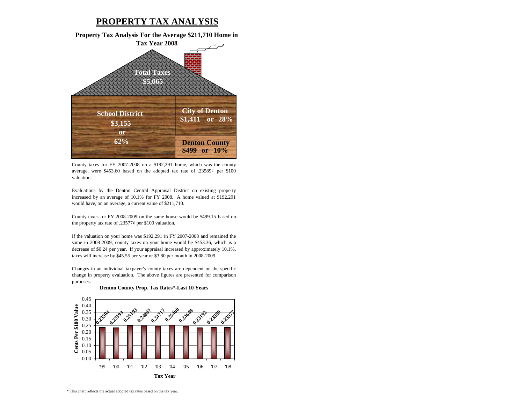### **PROPERTY TAX ANALYSIS**

**Property Tax Analysis For the Average \$211,710 Home in Tax Year 2008**



County taxes for FY 2007-2008 on <sup>a</sup> \$192,291 home, which was the county average, were \$453.60 based on the adopted tax rate of .23589¢ per \$100 valuation.

Evaluations by the Denton Central Appraisal District on existing property increased by an average of 10.1% for FY 2008. A home valued at \$192,291 would have, on an average, a current value of \$211,710.

County taxes for FY 2008-2009 on the same house would be \$499.15 based on the property tax rate of .23577¢ per \$100 valuation.

If the valuation on your home was \$192,291 in FY 2007-2008 and remained the same in 2008-2009, county taxes on your home would be \$453.36, which is <sup>a</sup> decrease of \$0.24 per year. If your appraisal increased by approximately 10.1%, taxes will increase by \$45.55 per year or \$3.80 per month in 2008-2009.

Changes in an individual taxpayer's county taxes are dependent on the specific change in property evaluation. The above figures are presented for comparison purposes.



#### **Denton County Prop. Tax Rates\*-Last 10 Years**

\* This chart reflects the actual adopted tax rates based on the tax year.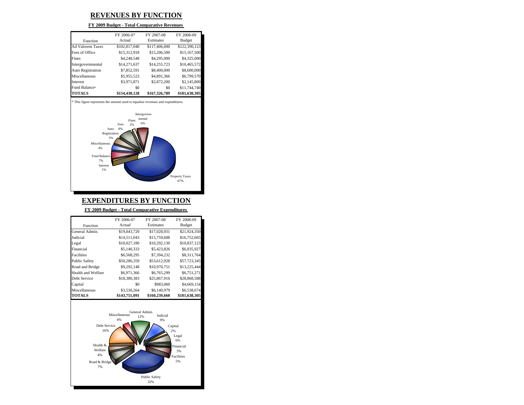### **REVENUES BY FUNCTION**

#### **FY 2009 Budget - Total Comparative Revenues**

|                         | FY 2006-07    | FY 2007-08    | FY 2008-09    |
|-------------------------|---------------|---------------|---------------|
| Function                | Actual        | Estimates     | <b>Budget</b> |
| <b>Ad Valorem Taxes</b> | \$102,817,040 | \$117,406,000 | \$122,390,123 |
| Fees of Office          | \$15,312,918  | \$15,206,500  | \$15,167,500  |
| Fines                   | \$4,248,548   | \$4,295,000   | \$4,325,000   |
| Intergovernmental       | \$14,271,637  | \$14,255,723  | \$10,465,572  |
| Auto Registration       | \$7,852,591   | \$8,400,000   | \$8,600,000   |
| Miscellaneous           | \$5,955,523   | \$4,891,366   | \$6,799,570   |
| <b>Interest</b>         | \$3,971,871   | \$2,872,200   | \$2,145,800   |
| Fund Balance*           | \$0           | \$0           | \$11,744,740  |
| <b>TOTALS</b>           | \$154,430,128 | \$167,326,789 | \$181,638,305 |





## **EXPENDITURES BY FUNCTION**

**FY 2009 Budget - Total Comparative Expenditures** 

|                      | FY 2006-07    | FY 2007-08    | FY 2008-09    |
|----------------------|---------------|---------------|---------------|
| Function             | Actual        | Estimates     | <b>Budget</b> |
| General Admin.       | \$19,043,720  | \$17,028,931  | \$21,924,350  |
| Judicial             | \$14,511,043  | \$15,759,608  | \$16,752,665  |
| Legal                | \$10,027,180  | \$10,292,130  | \$10,837,123  |
| Financial            | \$5,140,333   | \$5,423,826   | \$6,035,927   |
| Facilities           | \$6,568,295   | \$7,394,232   | \$8,311,764   |
| <b>Public Safety</b> | \$50,286,359  | \$53,612,928  | \$57,723,345  |
| Road and Bridge      | \$9,292,148   | \$10,970,751  | \$13,225,444  |
| Health and Welfare   | \$6,971,366   | \$6,765,299   | \$6,751,271   |
| Debt Service         | \$18,380,383  | \$25,867,916  | \$28,868,588  |
| Capital              | \$0           | \$983,060     | \$4,669,154   |
| Miscellaneous        | \$3,530,264   | \$6,140,979   | \$6,538,674   |
| <b>TOTALS</b>        | \$143,751,091 | \$160,239,660 | \$181,638,305 |